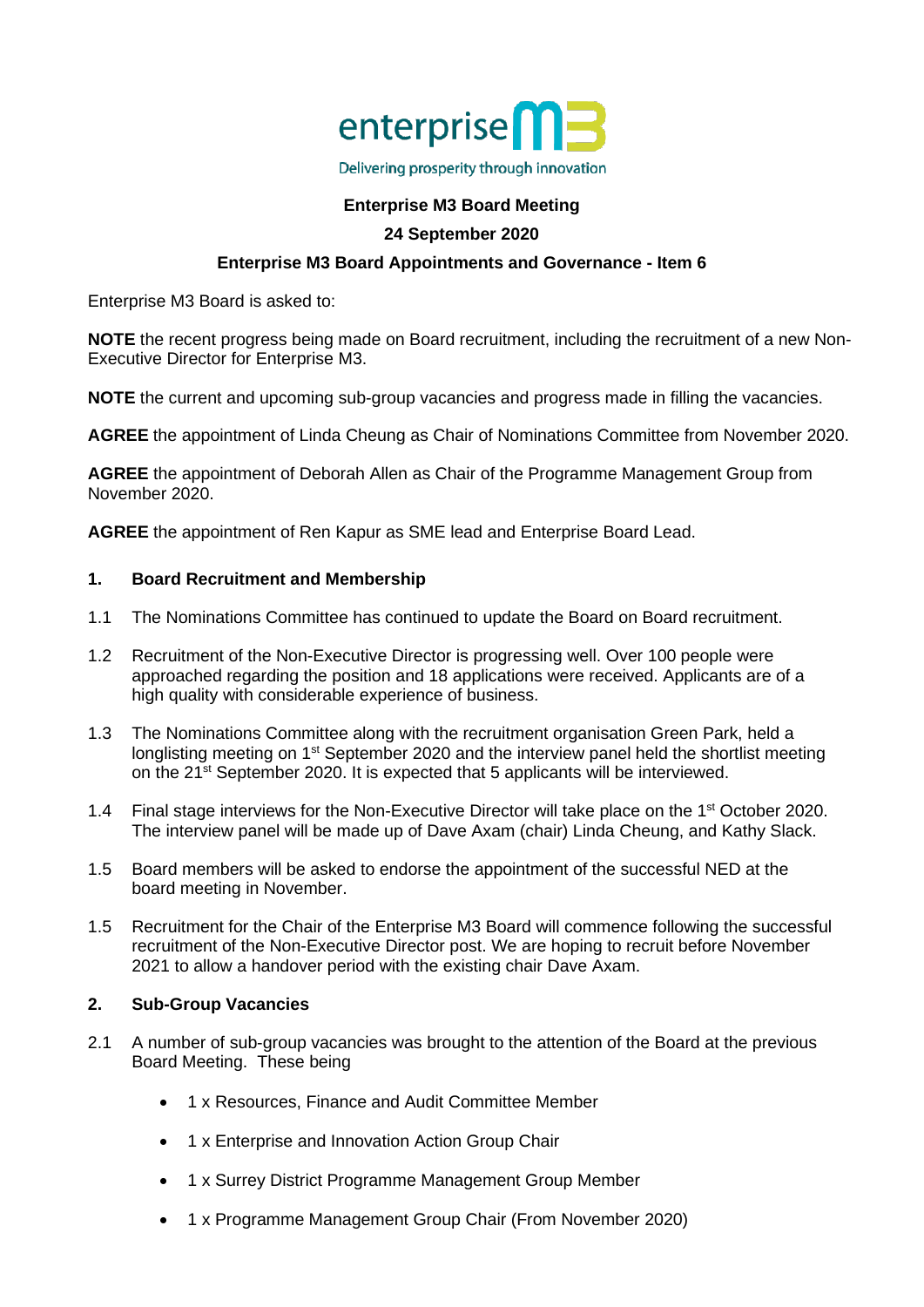

# **Enterprise M3 Board Meeting**

## **24 September 2020**

# **Enterprise M3 Board Appointments and Governance - Item 6**

Enterprise M3 Board is asked to:

**NOTE** the recent progress being made on Board recruitment, including the recruitment of a new Non-Executive Director for Enterprise M3.

**NOTE** the current and upcoming sub-group vacancies and progress made in filling the vacancies.

**AGREE** the appointment of Linda Cheung as Chair of Nominations Committee from November 2020.

**AGREE** the appointment of Deborah Allen as Chair of the Programme Management Group from November 2020.

**AGREE** the appointment of Ren Kapur as SME lead and Enterprise Board Lead.

#### **1. Board Recruitment and Membership**

- 1.1 The Nominations Committee has continued to update the Board on Board recruitment.
- 1.2 Recruitment of the Non-Executive Director is progressing well. Over 100 people were approached regarding the position and 18 applications were received. Applicants are of a high quality with considerable experience of business.
- 1.3 The Nominations Committee along with the recruitment organisation Green Park, held a longlisting meeting on 1<sup>st</sup> September 2020 and the interview panel held the shortlist meeting on the 21st September 2020. It is expected that 5 applicants will be interviewed.
- 1.4 Final stage interviews for the Non-Executive Director will take place on the 1<sup>st</sup> October 2020. The interview panel will be made up of Dave Axam (chair) Linda Cheung, and Kathy Slack.
- 1.5 Board members will be asked to endorse the appointment of the successful NED at the board meeting in November.
- 1.5 Recruitment for the Chair of the Enterprise M3 Board will commence following the successful recruitment of the Non-Executive Director post. We are hoping to recruit before November 2021 to allow a handover period with the existing chair Dave Axam.

## **2. Sub-Group Vacancies**

- 2.1 A number of sub-group vacancies was brought to the attention of the Board at the previous Board Meeting. These being
	- 1 x Resources, Finance and Audit Committee Member
	- 1 x Enterprise and Innovation Action Group Chair
	- 1 x Surrey District Programme Management Group Member
	- 1 x Programme Management Group Chair (From November 2020)